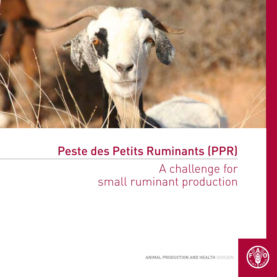

### Peste des Petits Ruminants (PPR)

# A challenge for small ruminant production

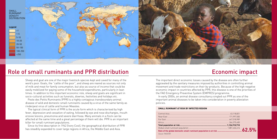

### Role of small ruminants and PPR distribution

Sheep and goat are one of the major livestock species kept and caved for many of the word's poor. Goats, the "cattle of the poor", and sheep are reared as sources not only of milk and meat for family consumption, but also as source of income that could be easily mobilized for paying some of the household expenditures, particularly in lean times. In addition to this important economic role, sheep and goats are significant in socio-cultural activities such as funerals, dowries, festivities and holidays etc.

Peste des Petits Ruminants (PPR) is a highly contagious transboundary animal disease of wild and domestic small ruminants caused by a virus of the same family as rinderpest virus of cattle and human Measles.

The typical clinical form of PPR is the acute form which is characterised by high fever, depression and cessation of eating, followed by eye and nose discharges, mouth erosive lesions, pneumonia and severe diarrhoea. Many animals in a flock can be affected at the same time and a great percentage of them will die. PPR is an important killer for small ruminant populations.

Since its first description in 1942 (Ivory Cost), the geographical distribution of PPR has steadlily expanded to cover large regions in Africa, the Middle East and Asia.

### Economic impact

The important direct economic losses caused by the disease are often further aggravated by the sanitary measures imposed by authorities in controlling animal movement and trade restrictions on their by-products. Because of the high negative economic impact in countries affected by PPR, this disease is one of the priorities of the FAO Emergency Preventive System (EMPRES) programme.

In early 2000s, an animal disease consultancy singled out PPR as one of the important animal diseases to be taken into consideration in poverty alleviation policies.

#### **Small ruminant at risk by infected region**